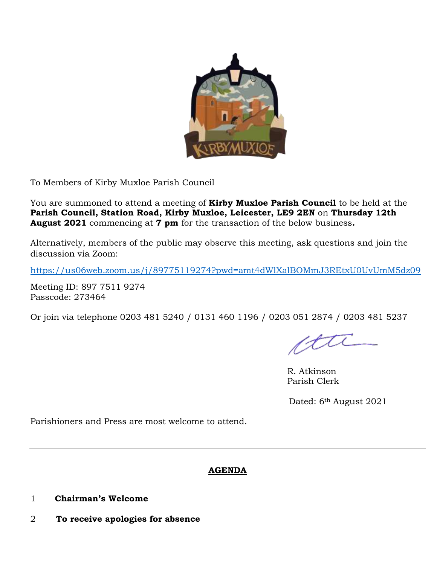

To Members of Kirby Muxloe Parish Council

You are summoned to attend a meeting of **Kirby Muxloe Parish Council** to be held at the **Parish Council, Station Road, Kirby Muxloe, Leicester, LE9 2EN** on **Thursday 12th August 2021** commencing at **7 pm** for the transaction of the below business**.**

Alternatively, members of the public may observe this meeting, ask questions and join the discussion via Zoom:

<https://us06web.zoom.us/j/89775119274?pwd=amt4dWlXalBOMmJ3REtxU0UvUmM5dz09>

Meeting ID: 897 7511 9274 Passcode: 273464

Or join via telephone 0203 481 5240 / 0131 460 1196 / 0203 051 2874 / 0203 481 5237

R. Atkinson Parish Clerk

Dated: 6th August 2021

Parishioners and Press are most welcome to attend.

# **AGENDA**

- 1 **Chairman's Welcome**
- 2 **To receive apologies for absence**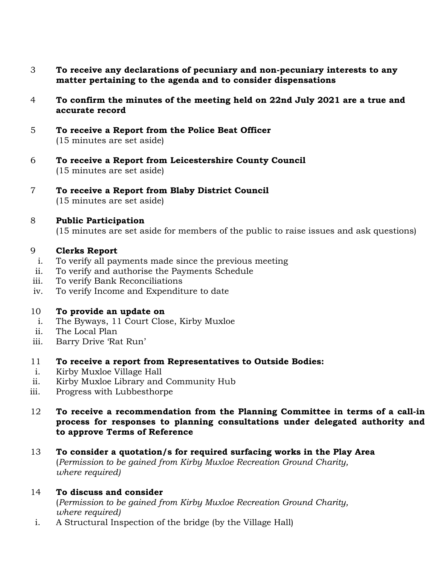- 3 **To receive any declarations of pecuniary and non-pecuniary interests to any matter pertaining to the agenda and to consider dispensations**
- 4 **To confirm the minutes of the meeting held on 22nd July 2021 are a true and accurate record**
- 5 **To receive a Report from the Police Beat Officer**  (15 minutes are set aside)
- 6 **To receive a Report from Leicestershire County Council** (15 minutes are set aside)
- 7 **To receive a Report from Blaby District Council** (15 minutes are set aside)
- 8 **Public Participation**

(15 minutes are set aside for members of the public to raise issues and ask questions)

#### 9 **Clerks Report**

- i. To verify all payments made since the previous meeting
- ii. To verify and authorise the Payments Schedule
- iii. To verify Bank Reconciliations
- iv. To verify Income and Expenditure to date

#### 10 **To provide an update on**

- i. The Byways, 11 Court Close, Kirby Muxloe
- ii. The Local Plan
- iii. Barry Drive 'Rat Run'
- 11 **To receive a report from Representatives to Outside Bodies:**
- i. Kirby Muxloe Village Hall
- ii. Kirby Muxloe Library and Community Hub
- iii. Progress with Lubbesthorpe
- 12 **To receive a recommendation from the Planning Committee in terms of a call-in process for responses to planning consultations under delegated authority and to approve Terms of Reference**
- 13 **To consider a quotation/s for required surfacing works in the Play Area** (*Permission to be gained from Kirby Muxloe Recreation Ground Charity, where required)*
- 14 **To discuss and consider**

(*Permission to be gained from Kirby Muxloe Recreation Ground Charity, where required)*

i. A Structural Inspection of the bridge (by the Village Hall)